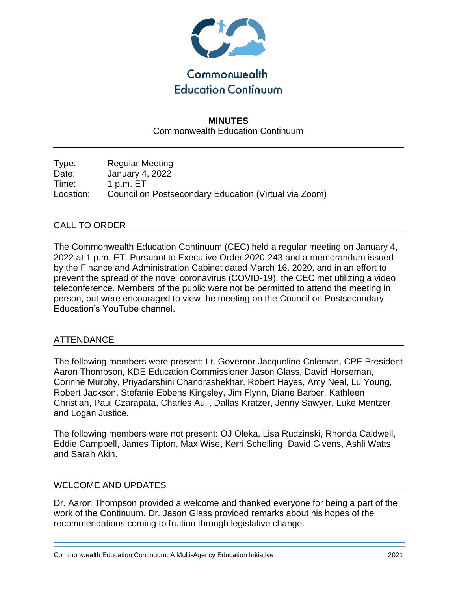

# **MINUTES** Commonwealth Education Continuum

Type: Regular Meeting Date: January 4, 2022 Time: 1 p.m. ET Location: Council on Postsecondary Education (Virtual via Zoom)

## CALL TO ORDER

The Commonwealth Education Continuum (CEC) held a regular meeting on January 4, 2022 at 1 p.m. ET. Pursuant to Executive Order 2020-243 and a memorandum issued by the Finance and Administration Cabinet dated March 16, 2020, and in an effort to prevent the spread of the novel coronavirus (COVID-19), the CEC met utilizing a video teleconference. Members of the public were not be permitted to attend the meeting in person, but were encouraged to view the meeting on the Council on Postsecondary Education's YouTube channel.

## ATTENDANCE

The following members were present: Lt. Governor Jacqueline Coleman, CPE President Aaron Thompson, KDE Education Commissioner Jason Glass, David Horseman, Corinne Murphy, Priyadarshini Chandrashekhar, Robert Hayes, Amy Neal, Lu Young, Robert Jackson, Stefanie Ebbens Kingsley, Jim Flynn, Diane Barber, Kathleen Christian, Paul Czarapata, Charles Aull, Dallas Kratzer, Jenny Sawyer, Luke Mentzer and Logan Justice.

The following members were not present: OJ Oleka, Lisa Rudzinski, Rhonda Caldwell, Eddie Campbell, James Tipton, Max Wise, Kerri Schelling, David Givens, Ashli Watts and Sarah Akin.

#### WELCOME AND UPDATES

Dr. Aaron Thompson provided a welcome and thanked everyone for being a part of the work of the Continuum. Dr. Jason Glass provided remarks about his hopes of the recommendations coming to fruition through legislative change.